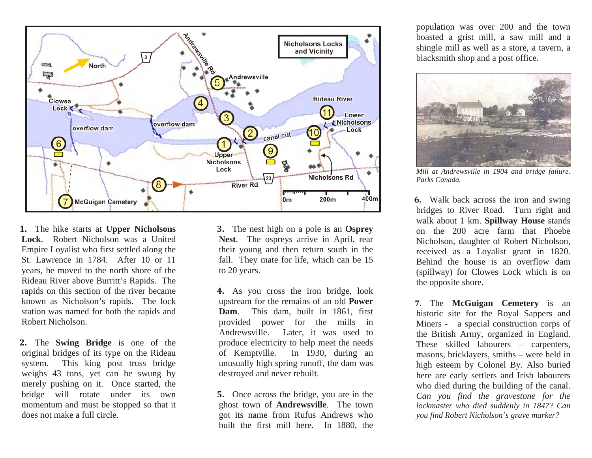

**-** The hike starts at **Upper Nicholsons Lock**. Robert Nicholson was a United Empire Loyalist who first settled along the St. Lawrence in 1784. After 10 or 11 years, he moved to the north shore of the Rideau River above Burritt's Rapids. The rapids on this section of the river became known as Nicholson's rapids. The lock station was named for both the rapids and Robert Nicholson.

**2.** The **Swing Bridge** is one of the original bridges of its type on the Rideau system. This king post truss bridge weighs 43 tons, yet can be swung by merely pushing on it. Once started, the bridge will rotate under its own momentum and must be stopped so that it does not make a full circle.

 The nest high on a pole is an **Osprey Nest**. The ospreys arrive in April, rear their young and then return south in the fall. They mate for life, which can be 15 to 20 years.

**4.** As you cross the iron bridge, look upstream for the remains of an old **Power Dam**. This dam, built in 1861, first provided power for the mills in Andrewsville. Later, it was used to produce electricity to help meet the needs of Kemptville. In 1930, during an unusually high spring runoff, the dam was destroyed and never rebuilt.

**5.** Once across the bridge, you are in the ghost town of **Andrewsville**. The town got its name from Rufus Andrews who built the first mill here. In 1880, the

population was over 200 and the town boasted a grist mill, a saw mill and a shingle mill as well as a store, a tavern, a blacksmith shop and a post office.



*Mill at Andrewsville in 1904 and bridge failure. Parks Canada.* 

**6.** Walk back across the iron and swing bridges to River Road. Turn right and walk about 1 km. **Spillway House** stands on the 200 acre farm that Phoebe Nicholson, daughter of Robert Nicholson, received as a Loyalist grant in 1820. Behind the house is an overflow dam (spillway) for Clowes Lock which is on the opposite shore.

 The **McGuigan Cemetery** is an historic site for the Royal Sappers and Miners - a special construction corps of the British Army, organized in England. These skilled labourers – carpenters, masons, bricklayers, smiths – were held in high esteem by Colonel By. Also buried here are early settlers and Irish labourers who died during the building of the canal. *Can you find the gravestone for the lockmaster who died suddenly in 1847? Can you find Robert Nicholson's grave marker?*